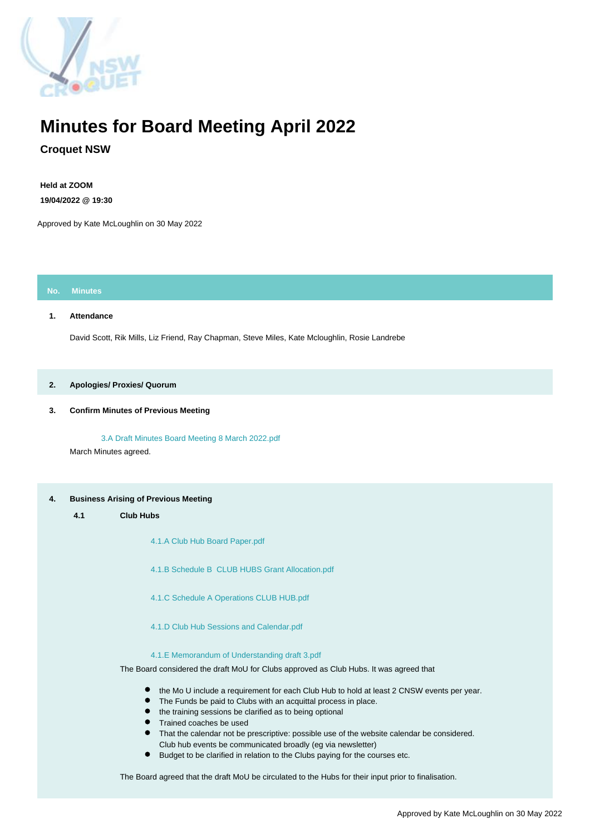

# **Minutes for Board Meeting April 2022**

# **Croquet NSW**

**Held at ZOOM 19/04/2022 @ 19:30**

Approved by Kate McLoughlin on 30 May 2022

# **No. Minutes**

# **1. Attendance**

David Scott, Rik Mills, Liz Friend, Ray Chapman, Steve Miles, Kate Mcloughlin, Rosie Landrebe

# **2. Apologies/ Proxies/ Quorum**

# **3. Confirm Minutes of Previous Meeting**

 [3.A Draft Minutes Board Meeting 8 March 2022.pdf](https://croquetnsw.ourcatherder.com/attachment/302662.0/DraftMinutesBoardMeeting8March2022.pdf) March Minutes agreed.

# **4. Business Arising of Previous Meeting**

**4.1 Club Hubs**

 [4.1.A Club Hub Board Paper.pdf](https://croquetnsw.ourcatherder.com/attachment/302663.0/ClubHubBoardPaper.pdf)

 [4.1.B Schedule B CLUB HUBS Grant Allocation.pdf](https://croquetnsw.ourcatherder.com/attachment/302664.0/ScheduleBCLUBHUBSGrantAllocation.pdf)

 [4.1.C Schedule A Operations CLUB HUB.pdf](https://croquetnsw.ourcatherder.com/attachment/302665.0/ScheduleAOperationsCLUBHUB.pdf)

 [4.1.D Club Hub Sessions and Calendar.pdf](https://croquetnsw.ourcatherder.com/attachment/302666.0/ClubHubSessionsandCalendar.pdf)

 [4.1.E Memorandum of Understanding draft 3.pdf](https://croquetnsw.ourcatherder.com/attachment/302667.0/MemorandumofUnderstandingdraft3.pdf)

The Board considered the draft MoU for Clubs approved as Club Hubs. It was agreed that

- the Mo U include a requirement for each Club Hub to hold at least 2 CNSW events per year.
- $\bullet$ The Funds be paid to Clubs with an acquittal process in place.
- $\bullet$ the training sessions be clarified as to being optional
- Trained coaches be used
- $\bullet$ That the calendar not be prescriptive: possible use of the website calendar be considered. Club hub events be communicated broadly (eg via newsletter)
- $\bullet$ Budget to be clarified in relation to the Clubs paying for the courses etc.

The Board agreed that the draft MoU be circulated to the Hubs for their input prior to finalisation.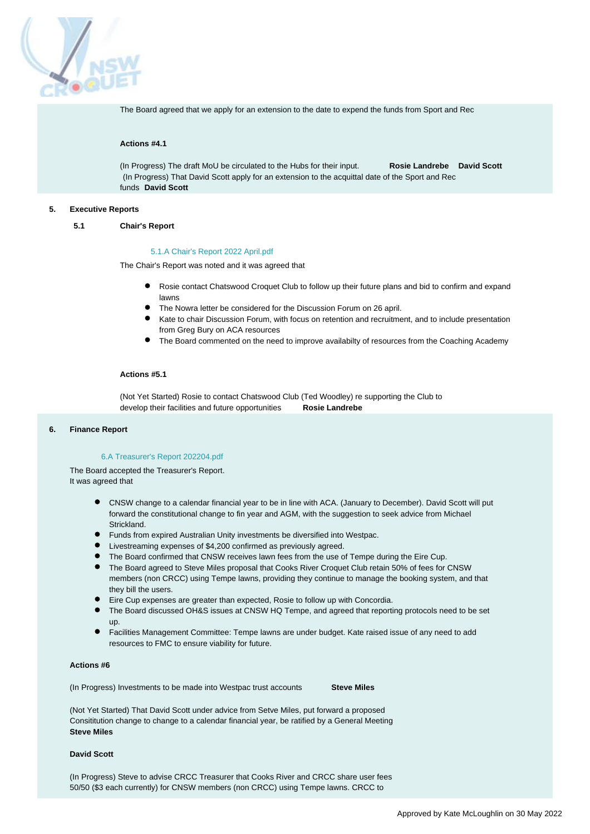

The Board agreed that we apply for an extension to the date to expend the funds from Sport and Rec

# **Actions #4.1**

(In Progress) The draft MoU be circulated to the Hubs for their input. **Rosie Landrebe David Scott** (In Progress) That David Scott apply for an extension to the acquittal date of the Sport and Rec funds **David Scott**

#### **5. Executive Reports**

#### **5.1 Chair's Report**

#### [5.1.A Chair's Report 2022 April.pdf](https://croquetnsw.ourcatherder.com/attachment/301376.0/ChairsReport2022April.pdf)

The Chair's Report was noted and it was agreed that

- Rosie contact Chatswood Croquet Club to follow up their future plans and bid to confirm and expand lawns
- The Nowra letter be considered for the Discussion Forum on 26 april.
- Kate to chair Discussion Forum, with focus on retention and recruitment, and to include presentation from Greg Bury on ACA resources
- The Board commented on the need to improve availabilty of resources from the Coaching Academy

#### **Actions #5.1**

(Not Yet Started) Rosie to contact Chatswood Club (Ted Woodley) re supporting the Club to develop their facilities and future opportunities **Rosie Landrebe**

# **6. Finance Report**

## [6.A Treasurer's Report 202204.pdf](https://croquetnsw.ourcatherder.com/attachment/302612.0/TreasurersReport202204.pdf)

The Board accepted the Treasurer's Report. It was agreed that

- CNSW change to a calendar financial year to be in line with ACA. (January to December). David Scott will put forward the constitutional change to fin year and AGM, with the suggestion to seek advice from Michael Strickland.
- Funds from expired Australian Unity investments be diversified into Westpac.
- Livestreaming expenses of \$4,200 confirmed as previously agreed.
- The Board confirmed that CNSW receives lawn fees from the use of Tempe during the Eire Cup.
- The Board agreed to Steve Miles proposal that Cooks River Croquet Club retain 50% of fees for CNSW members (non CRCC) using Tempe lawns, providing they continue to manage the booking system, and that they bill the users.
- Eire Cup expenses are greater than expected, Rosie to follow up with Concordia.
- The Board discussed OH&S issues at CNSW HQ Tempe, and agreed that reporting protocols need to be set up.
- Facilities Management Committee: Tempe lawns are under budget. Kate raised issue of any need to add resources to FMC to ensure viability for future.

# **Actions #6**

(In Progress) Investments to be made into Westpac trust accounts **Steve Miles**

(Not Yet Started) That David Scott under advice from Setve Miles, put forward a proposed Consititution change to change to a calendar financial year, be ratified by a General Meeting **Steve Miles**

# **David Scott**

(In Progress) Steve to advise CRCC Treasurer that Cooks River and CRCC share user fees 50/50 (\$3 each currently) for CNSW members (non CRCC) using Tempe lawns. CRCC to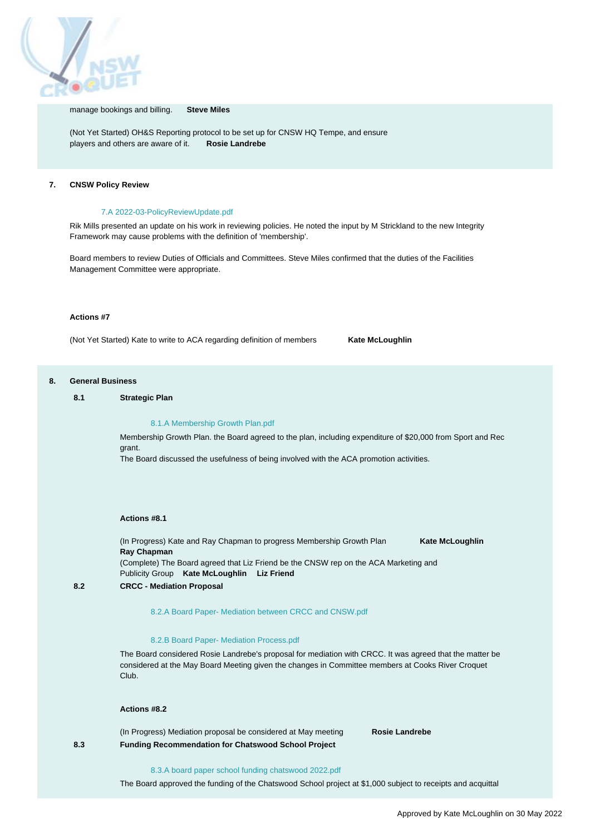

#### manage bookings and billing. **Steve Miles**

(Not Yet Started) OH&S Reporting protocol to be set up for CNSW HQ Tempe, and ensure players and others are aware of it. **Rosie Landrebe**

# **7. CNSW Policy Review**

# [7.A 2022-03-PolicyReviewUpdate.pdf](https://croquetnsw.ourcatherder.com/attachment/302992.0/2022-03-PolicyReviewUpdate.pdf)

Rik Mills presented an update on his work in reviewing policies. He noted the input by M Strickland to the new Integrity Framework may cause problems with the definition of 'membership'.

Board members to review Duties of Officials and Committees. Steve Miles confirmed that the duties of the Facilities Management Committee were appropriate.

#### **Actions #7**

(Not Yet Started) Kate to write to ACA regarding definition of members **Kate McLoughlin**

#### **8. General Business**

## **8.1 Strategic Plan**

#### [8.1.A Membership Growth Plan.pdf](https://croquetnsw.ourcatherder.com/attachment/302712.0/MembershipGrowthPlan.pdf)

Membership Growth Plan. the Board agreed to the plan, including expenditure of \$20,000 from Sport and Rec grant.

The Board discussed the usefulness of being involved with the ACA promotion activities.

#### **Actions #8.1**

(In Progress) Kate and Ray Chapman to progress Membership Growth Plan **Kate McLoughlin Ray Chapman** (Complete) The Board agreed that Liz Friend be the CNSW rep on the ACA Marketing and Publicity Group **Kate McLoughlin Liz Friend**

#### **8.2 CRCC - Mediation Proposal**

#### [8.2.A Board Paper- Mediation between CRCC and CNSW.pdf](https://croquetnsw.ourcatherder.com/attachment/298331.0/BoardPaper-MediationbetweenCRCCandCNSW.pdf)

#### [8.2.B Board Paper- Mediation Process.pdf](https://croquetnsw.ourcatherder.com/attachment/298332.0/BoardPaper-MediationProcess.pdf)

The Board considered Rosie Landrebe's proposal for mediation with CRCC. It was agreed that the matter be considered at the May Board Meeting given the changes in Committee members at Cooks River Croquet Club.

# **Actions #8.2**

(In Progress) Mediation proposal be considered at May meeting **Rosie Landrebe 8.3 Funding Recommendation for Chatswood School Project**

#### [8.3.A board paper school funding chatswood 2022.pdf](https://croquetnsw.ourcatherder.com/attachment/301942.0/boardpaperschoolfundingchatswood2022.pdf)

The Board approved the funding of the Chatswood School project at \$1,000 subject to receipts and acquittal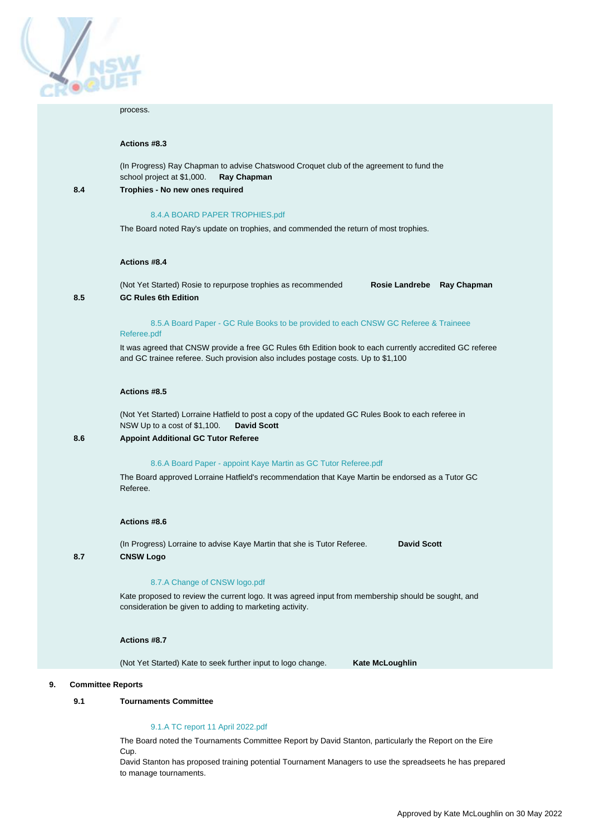

#### process.

## **Actions #8.3**

(In Progress) Ray Chapman to advise Chatswood Croquet club of the agreement to fund the school project at \$1,000. **Ray Chapman 8.4 Trophies - No new ones required**

# [8.4.A BOARD PAPER TROPHIES.pdf](https://croquetnsw.ourcatherder.com/attachment/298334.0/BOARDPAPERTROPHIES.pdf)

The Board noted Ray's update on trophies, and commended the return of most trophies.

#### **Actions #8.4**

(Not Yet Started) Rosie to repurpose trophies as recommended **Rosie Landrebe Ray Chapman 8.5 GC Rules 6th Edition**

# [8.5.A Board Paper - GC Rule Books to be provided to each CNSW GC Referee & Traineee](https://croquetnsw.ourcatherder.com/attachment/302700.0/BoardPaper-GCRuleBookstobeprovidedtoeachCNSWGCRefereeTraineeeReferee.pdf)

# [Referee.pdf](https://croquetnsw.ourcatherder.com/attachment/302700.0/BoardPaper-GCRuleBookstobeprovidedtoeachCNSWGCRefereeTraineeeReferee.pdf)

It was agreed that CNSW provide a free GC Rules 6th Edition book to each currently accredited GC referee and GC trainee referee. Such provision also includes postage costs. Up to \$1,100

## **Actions #8.5**

(Not Yet Started) Lorraine Hatfield to post a copy of the updated GC Rules Book to each referee in NSW Up to a cost of \$1,100. **David Scott**

# **8.6 Appoint Additional GC Tutor Referee**

# [8.6.A Board Paper - appoint Kaye Martin as GC Tutor Referee.pdf](https://croquetnsw.ourcatherder.com/attachment/302707.0/BoardPaper-appointKayeMartinasGCTutorReferee.pdf)

The Board approved Lorraine Hatfield's recommendation that Kaye Martin be endorsed as a Tutor GC Referee.

#### **Actions #8.6**

(In Progress) Lorraine to advise Kaye Martin that she is Tutor Referee. **David Scott 8.7 CNSW Logo**

#### [8.7.A Change of CNSW logo.pdf](https://croquetnsw.ourcatherder.com/attachment/302701.0/ChangeofCNSWlogo.pdf)

Kate proposed to review the current logo. It was agreed input from membership should be sought, and consideration be given to adding to marketing activity.

#### **Actions #8.7**

(Not Yet Started) Kate to seek further input to logo change. **Kate McLoughlin** 

#### **9. Committee Reports**

## **9.1 Tournaments Committee**

#### [9.1.A TC report 11 April 2022.pdf](https://croquetnsw.ourcatherder.com/attachment/302646.0/TCreport11April2022.pdf)

The Board noted the Tournaments Committee Report by David Stanton, particularly the Report on the Eire Cup.

David Stanton has proposed training potential Tournament Managers to use the spreadseets he has prepared to manage tournaments.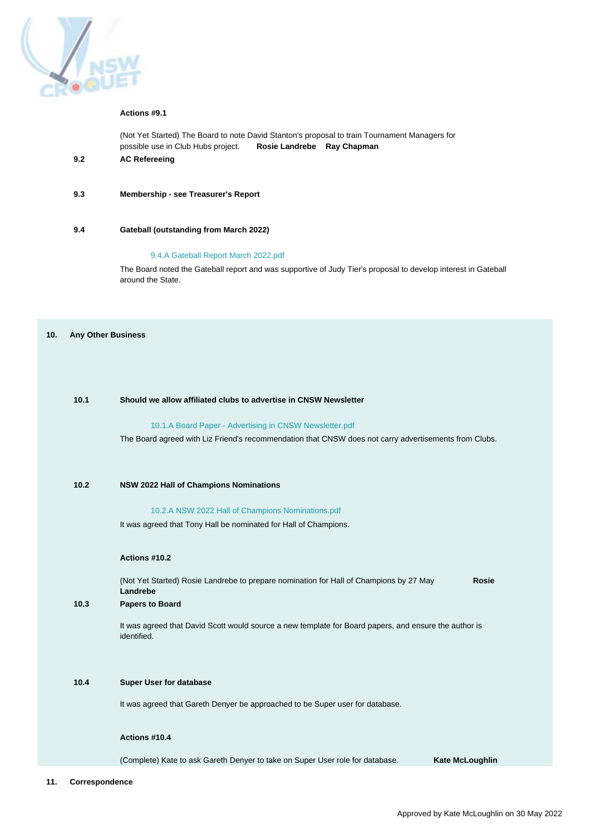

## **Actions #9.1**

(Not Yet Started) The Board to note David Stanton's proposal to train Tournament Managers for possible use in Club Hubs project. **Rosie Landrebe Ray Chapman 9.2 AC Refereeing**

**9.3 Membership - see Treasurer's Report**

#### **9.4 Gateball (outstanding from March 2022)**

# [9.4.A Gateball Report March 2022.pdf](https://croquetnsw.ourcatherder.com/attachment/302643.0/GateballReportMarch2022.pdf)

The Board noted the Gateball report and was supportive of Judy Tier's proposal to develop interest in Gateball around the State.

#### **10. Any Other Business**

# **10.1 Should we allow affiliated clubs to advertise in CNSW Newsletter**

#### [10.1.A Board Paper - Advertising in CNSW Newsletter.pdf](https://croquetnsw.ourcatherder.com/attachment/303040.0/BoardPaper-AdvertisinginCNSWNewsletter.pdf)

The Board agreed with Liz Friend's recommendation that CNSW does not carry advertisements from Clubs.

# **10.2 NSW 2022 Hall of Champions Nominations**

#### [10.2.A NSW 2022 Hall of Champions Nominations.pdf](https://croquetnsw.ourcatherder.com/attachment/303665.0/NSW2022HallofChampionsNominations.pdf)

It was agreed that Tony Hall be nominated for Hall of Champions.

#### **Actions #10.2**

(Not Yet Started) Rosie Landrebe to prepare nomination for Hall of Champions by 27 May **Rosie Landrebe**

# **10.3 Papers to Board**

It was agreed that David Scott would source a new template for Board papers, and ensure the author is identified.

# **10.4 Super User for database**

It was agreed that Gareth Denyer be approached to be Super user for database.

# **Actions #10.4**

(Complete) Kate to ask Gareth Denyer to take on Super User role for database. **Kate McLoughlin**